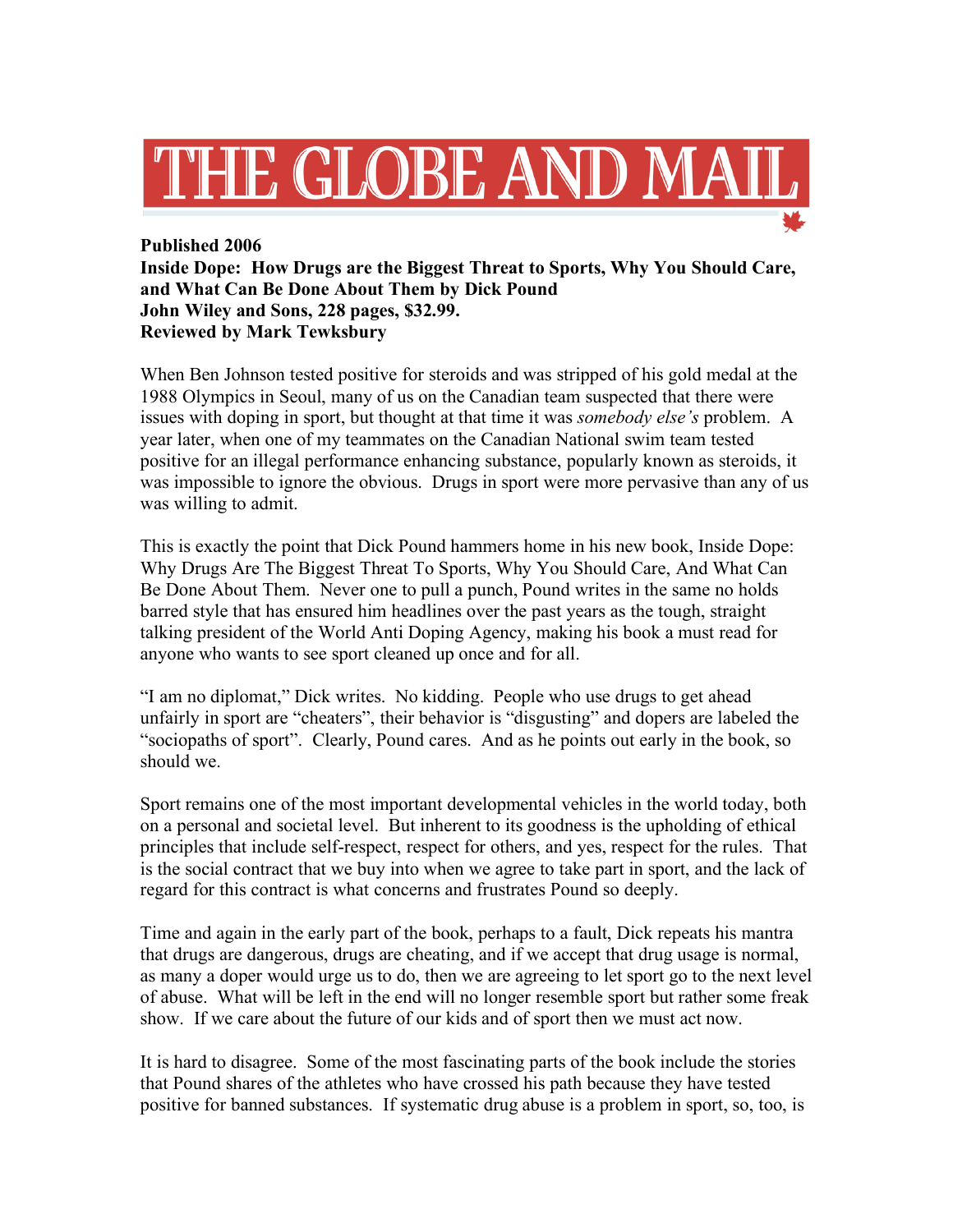

**Published 2006 Inside Dope: How Drugs are the Biggest Threat to Sports, Why You Should Care, and What Can Be Done About Them by Dick Pound John Wiley and Sons, 228 pages, \$32.99. Reviewed by Mark Tewksbury**

When Ben Johnson tested positive for steroids and was stripped of his gold medal at the 1988 Olympics in Seoul, many of us on the Canadian team suspected that there were issues with doping in sport, but thought at that time it was *somebody else's* problem. A year later, when one of my teammates on the Canadian National swim team tested positive for an illegal performance enhancing substance, popularly known as steroids, it was impossible to ignore the obvious. Drugs in sport were more pervasive than any of us was willing to admit.

This is exactly the point that Dick Pound hammers home in his new book, Inside Dope: Why Drugs Are The Biggest Threat To Sports, Why You Should Care, And What Can Be Done About Them. Never one to pull a punch, Pound writes in the same no holds barred style that has ensured him headlines over the past years as the tough, straight talking president of the World Anti Doping Agency, making his book a must read for anyone who wants to see sport cleaned up once and for all.

"I am no diplomat," Dick writes. No kidding. People who use drugs to get ahead unfairly in sport are "cheaters", their behavior is "disgusting" and dopers are labeled the "sociopaths of sport". Clearly, Pound cares. And as he points out early in the book, so should we.

Sport remains one of the most important developmental vehicles in the world today, both on a personal and societal level. But inherent to its goodness is the upholding of ethical principles that include self-respect, respect for others, and yes, respect for the rules. That is the social contract that we buy into when we agree to take part in sport, and the lack of regard for this contract is what concerns and frustrates Pound so deeply.

Time and again in the early part of the book, perhaps to a fault, Dick repeats his mantra that drugs are dangerous, drugs are cheating, and if we accept that drug usage is normal, as many a doper would urge us to do, then we are agreeing to let sport go to the next level of abuse. What will be left in the end will no longer resemble sport but rather some freak show. If we care about the future of our kids and of sport then we must act now.

It is hard to disagree. Some of the most fascinating parts of the book include the stories that Pound shares of the athletes who have crossed his path because they have tested positive for banned substances. If systematic drug abuse is a problem in sport, so, too, is